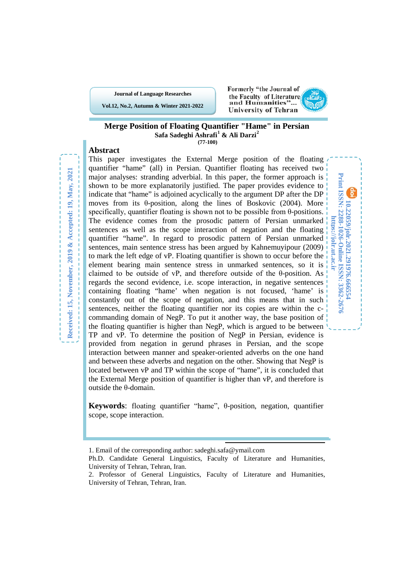**Journal of Language Researches**

**Vol.12, No.2, Autumn & Winter 2021-2022**



**10.22059/jolr.2021.291976.666554 Print ISSN: 2288-1026-Online ISSN: 3362-2676 https://jolr.ut.ac.ir**

Print ISSN: 2288-1026-Online ISSN: 3362-2670 10.22059/jolr.2021.291976.666554

https://jolr.ut.ac.ir

#### **Merge Position of Floating Quantifier "Hame" in Persian Safa Sadeghi Ashrafi [1](#page-0-0) & Ali Darzi[2](#page-0-1) (77-100)**

# **Abstract**

This paper investigates the External Merge position of the floating quantifier "hame" (all) in Persian. Quantifier floating has received two major analyses: stranding adverbial. In this paper, the former approach is shown to be more explanatorily justified. The paper provides evidence to indicate that "hame" is adjoined acyclically to the argument DP after the DP moves from its  $\theta$ -position, along the lines of Boskovic (2004). More specifically, quantifier floating is shown not to be possible from θ-positions. The evidence comes from the prosodic pattern of Persian unmarked sentences as well as the scope interaction of negation and the floating quantifier "hame". In regard to prosodic pattern of Persian unmarked sentences, main sentence stress has been argued by Kahnemuyipour (2009) to mark the left edge of vP. Floating quantifier is shown to occur before the element bearing main sentence stress in unmarked sentences, so it is claimed to be outside of vP, and therefore outside of the  $\theta$ -position. As regards the second evidence, i.e. scope interaction, in negative sentences containing floating "hame' when negation is not focused, 'hame' is constantly out of the scope of negation, and this means that in such sentences, neither the floating quantifier nor its copies are within the ccommanding domain of NegP. To put it another way, the base position of the floating quantifier is higher than NegP, which is argued to be between TP and vP. To determine the position of NegP in Persian, evidence is provided from negation in gerund phrases in Persian, and the scope interaction between manner and speaker-oriented adverbs on the one hand and between these adverbs and negation on the other. Showing that NegP is located between vP and TP within the scope of "hame", it is concluded that the External Merge position of quantifier is higher than vP, and therefore is outside the θ-domain.

**Keywords**: floating quantifier "hame", θ-position, negation, quantifier scope, scope interaction.

1

<sup>1.</sup> Email of the corresponding author: sadeghi.safa@ymail.com

<span id="page-0-0"></span>Ph.D. Candidate General Linguistics, Faculty of Literature and Humanities, University of Tehran, Tehran, Iran.

<span id="page-0-1"></span><sup>2.</sup> Professor of General Linguistics, Faculty of Literature and Humanities, University of Tehran, Tehran, Iran.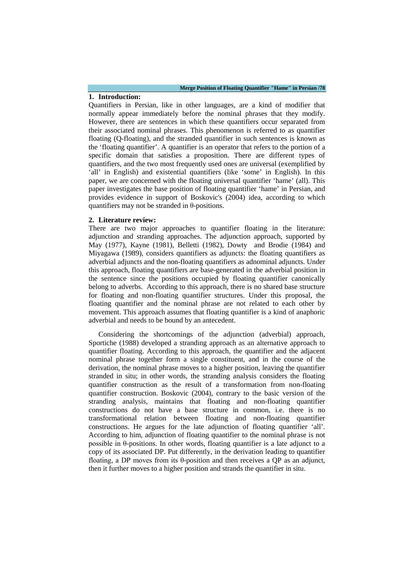### **1. Introduction:**

Quantifiers in Persian, like in other languages, are a kind of modifier that normally appear immediately before the nominal phrases that they modify. However, there are sentences in which these quantifiers occur separated from their associated nominal phrases. This phenomenon is referred to as quantifier floating (Q-floating), and the stranded quantifier in such sentences is known as the 'floating quantifier'. A quantifier is an operator that refers to the portion of a specific domain that satisfies a proposition. There are different types of quantifiers, and the two most frequently used ones are universal (exemplified by 'all' in English) and existential quantifiers (like 'some' in English). In this paper, we are concerned with the floating universal quantifier 'hame' (all). This paper investigates the base position of floating quantifier 'hame' in Persian, and provides evidence in support of Boskovic's (2004) idea, according to which quantifiers may not be stranded in θ-positions.

### **2. Literature review:**

There are two major approaches to quantifier floating in the literature: adjunction and stranding approaches. The adjunction approach, supported by May (1977), Kayne (1981), Belletti (1982), Dowty and Brodie (1984) and Miyagawa (1989), considers quantifiers as adjuncts: the floating quantifiers as adverbial adjuncts and the non-floating quantifiers as adnominal adjuncts. Under this approach, floating quantifiers are base-generated in the adverbial position in the sentence since the positions occupied by floating quantifier canonically belong to adverbs. According to this approach, there is no shared base structure for floating and non-floating quantifier structures. Under this proposal, the floating quantifier and the nominal phrase are not related to each other by movement. This approach assumes that floating quantifier is a kind of anaphoric adverbial and needs to be bound by an antecedent.

Considering the shortcomings of the adjunction (adverbial) approach, Sportiche (1988) developed a stranding approach as an alternative approach to quantifier floating. According to this approach, the quantifier and the adjacent nominal phrase together form a single constituent, and in the course of the derivation, the nominal phrase moves to a higher position, leaving the quantifier stranded in situ; in other words, the stranding analysis considers the floating quantifier construction as the result of a transformation from non-floating quantifier construction. Boskovic (2004), contrary to the basic version of the stranding analysis, maintains that floating and non-floating quantifier constructions do not have a base structure in common, i.e. there is no transformational relation between floating and non-floating quantifier constructions. He argues for the late adjunction of floating quantifier 'all'. According to him, adjunction of floating quantifier to the nominal phrase is not possible in θ-positions. In other words, floating quantifier is a late adjunct to a copy of its associated DP. Put differently, in the derivation leading to quantifier floating, a DP moves from its θ-position and then receives a QP as an adjunct, then it further moves to a higher position and strands the quantifier in situ.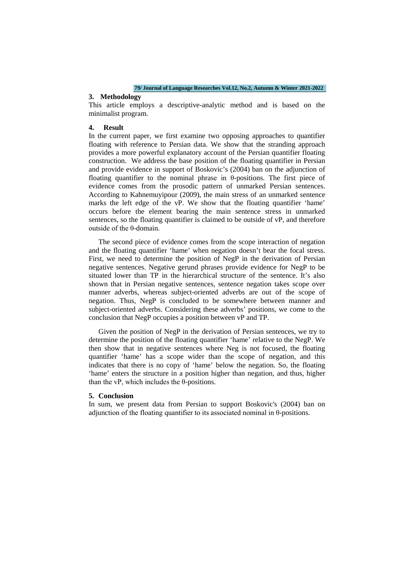### **3. Methodology**

This article employs a descriptive-analytic method and is based on the minimalist program.

### **4. Result**

In the current paper, we first examine two opposing approaches to quantifier floating with reference to Persian data. We show that the stranding approach provides a more powerful explanatory account of the Persian quantifier floating construction. We address the base position of the floating quantifier in Persian and provide evidence in support of Boskovic's (2004) ban on the adjunction of floating quantifier to the nominal phrase in θ-positions. The first piece of evidence comes from the prosodic pattern of unmarked Persian sentences. According to Kahnemuyipour (2009), the main stress of an unmarked sentence marks the left edge of the vP. We show that the floating quantifier 'hame' occurs before the element bearing the main sentence stress in unmarked sentences, so the floating quantifier is claimed to be outside of vP, and therefore outside of the θ-domain.

The second piece of evidence comes from the scope interaction of negation and the floating quantifier 'hame' when negation doesn't bear the focal stress. First, we need to determine the position of NegP in the derivation of Persian negative sentences. Negative gerund phrases provide evidence for NegP to be situated lower than TP in the hierarchical structure of the sentence. It's also shown that in Persian negative sentences, sentence negation takes scope over manner adverbs, whereas subject-oriented adverbs are out of the scope of negation. Thus, NegP is concluded to be somewhere between manner and subject-oriented adverbs. Considering these adverbs' positions, we come to the conclusion that NegP occupies a position between vP and TP.

Given the position of NegP in the derivation of Persian sentences, we try to determine the position of the floating quantifier 'hame' relative to the NegP. We then show that in negative sentences where Neg is not focused, the floating quantifier 'hame' has a scope wider than the scope of negation, and this indicates that there is no copy of 'hame' below the negation. So, the floating 'hame' enters the structure in a position higher than negation, and thus, higher than the vP, which includes the θ-positions.

### **5. Conclusion**

In sum, we present data from Persian to support Boskovic's (2004) ban on adjunction of the floating quantifier to its associated nominal in  $\theta$ -positions.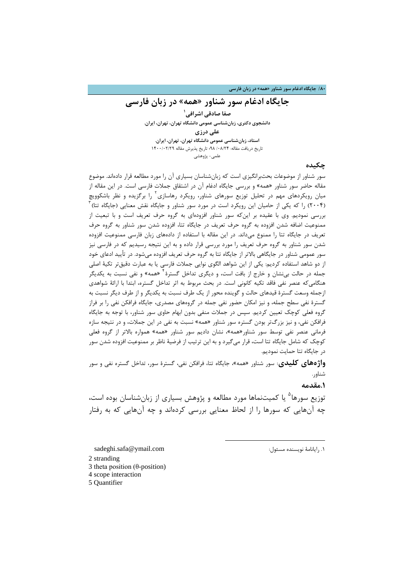# **جایگاه ادغام سور شناور «همه» در زبان فارسی**

**[1](#page-3-0) صفا صادقی اشرافی دانشجوي دکتري، زبانشناسی عمومی دانشگاه تهران، تهران، ایران. علی درزي استاد، زبانشناسی عمومی دانشگاه تهران، تهران، ایران.** تاریخ دریافت مقاله: ۰/۰٨/٢۴ 98؛ تاریخ پذیرش مقاله ١۴٠٠/٠٢/٢٩ علمی- پژوهشی

## **چکیده**

سور شناور از موضوعات بحثبرانگیزي است که زبانشناسان بسیاري آن را مورد مطالعه قرار دادهاند. موضوع مقاله حاضر سور شناور «همه» و بررسی جایگاه ادغام آن در اشتقاق جملات فارسی است. در این مقاله از میان رویکردهای مهم در تحلیل توزیع سورهای شناور، رویکرد رهاسازی ٔ را برگزیده و نظر باشکوویچ  $^{\mathrm{v}}$  (5 را که یکی از حامیان این رویکرد است در مورد سور شناور و جایگاه نقش معنایی (جایگاه تتا) بررسی نمودیم. وي با عقیده بر اینکه سور شناور افزودهاي به گروه حرف تعریف است و با تبعیت از ممنوعیت اضافه شدن افزوده به گروه حرف تعریف در جایگاه تتا، افزوده شدن سور شناور به گروه حرف تعریف در جایگاه تتا را ممنوع میداند. در این مقاله با استفاده از دادههاي زبان فارسی ممنوعیت افزوده شدن سور شناور به گروه حرف تعریف را مورد بررسی قرار داده و به این نتیجه رسیدیم که در فارسی نیز سور عمومی شناور در جایگاهی بالاتر از جایگاه تتا به گروه حرف تعریف افزوده میشود. در تأیید ادعاي خود از دو شاهد استفاده کردیم: یکی از این شواهد الگوي نوایی جملات فارسی یا به عبارت دقیقتر تکیۀ اصلی جمله در حالت بی $نشان و خارج از بافت است، و دیگری تداخل گسترهٔ <sup>۲</sup> «همه» و نفی نسبت به یکدیگر$ هنگامیکه عنصر نفی فاقد تکیه کانونی است. در بحث مربوط به اثر تداخل گستره، ابتدا با ارائۀ شواهدي ازجمله وسعت گسترة قیدهاي حالت و گوینده محور از یک طرف نسبت به یکدیگر و از طرف دیگر نسبت به گسترة نفی سطح جمله، و نیز امکان حضور نفی جمله در گروههاي مصدري، جایگاه فرافکن نفی را بر فراز گروه فعلی کوچک تعیین کردیم. سپس در جملات منفی بدون ابهام حاوي سور شناور، با توجه به جایگاه فرافکن نفی، و نیز بزرگتر بودن گستره سور شناور «همه» نسبت به نفی در این جملات، و در نتیجه سازه فرمانی عنصر نفی توسط سور شناور«همه»، نشان دادیم سور شناور «همه» همواره بالاتر از گروه فعلی کوچک که شامل جایگاه تتا است، قرار میگیرد و به این ترتیب از فرضیۀ ناظر بر ممنوعیت افزوده شدن سور در جایگاه تتا حمایت نمودیم.

**واژههاي کلیدي**: سور شناور «همه»، جایگاه تتا، فرافکن نفی، گسترة سور، تداخل گستره نفی و سور شناور.

**.1مقدمه**

توزیع سورها<sup>ه</sup> یا کمیتنماها مورد مطالعه و پژوهش بسیاری از زبانشناسان بوده است، چه آنهایی که سورها را از لحاظ معنایی بررسی کردهاند و چه آنهایی که به رفتار

**.** 

sadeghi.safa@ymail.com :مسئول نویسنده رایانامۀ [.1](#page-3-4)

<span id="page-3-1"></span><span id="page-3-0"></span>2 stranding

<span id="page-3-2"></span>3 theta position (θ-position)

<span id="page-3-3"></span>4 scope interaction

<span id="page-3-4"></span>5 Quantifier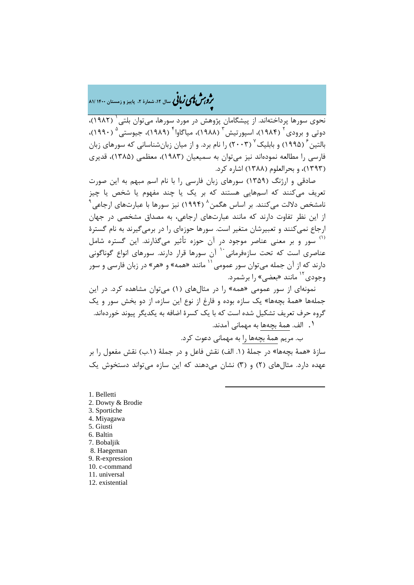�ی زبا **، سال ،12 شمارة ،2 پاییز و زمستان 1400 81/** � �و ی �ش

نحوی سورها پرداختهاند. از پیشگامان پژوهش در مورد سورها، میتوان بلتی ( ۱۹۸۲)، دوتی و برودی<sup>۲</sup> (۱۹۸۴)، اسپورتیش<sup>۳</sup> (۱۹۸۸)، میاگاوا<sup>۴</sup> (۱۹۸۹)، جیوستی<sup>۵</sup> (۱۹۹۰)، بالتين <sup>۶</sup> (۱۹۹۵) و بابليک ۲ (۲۰۰۳) را نام برد. و از ميان زبانشناسانی که سورهای زبان فارسی را مطالعه نمودهاند نیز میتوان به سمیعیان (1983)، معظمی (1385)، قدیري (1393)، و بحرالعلوم (1388) اشاره کرد.

صادقی و ارژنگ ([1359](#page-4-6)) سورهاي زبان فارسی را با نام اسم مبهم به این صورت تعریف میکنند که اسمهایی هستند که بر یک یا چند مفهوم یا شخص یا چیز امشخص دلالت میکنند. بر اساس هگمن $^{\wedge}$  (۱۹۹۴) نیز سورها با عبارتهای ارجاعی از این نظر تفاوت دارند که مانند عبارتهاي ارجاعی، به مصداق مشخصی در جهان ارجاع نمیکنند و تعبیرشان متغیر است. سورها حوزهاي را در برمیگیرند به نام گسترة <sup>(۱)</sup> سور و بر معنی عناصر موجود در آن حوزه تأثیر میگذارند. این گستره شامل عناصری است که تحت سازهفرمانی<sup>۱۰</sup> آن سورها قرار دارند. سورهای انواع گوناگونی دارند که از آن جمله میتوان سور عمومی <sup>۱۱</sup> مانند «همه» و «هر» در زبان فارسی و سور وجودي<sup>۱۲</sup> مانند «بعضي» را برشمرد.

نمونهاي از سور عمومی «همه» را در مثالهاي (1) میتوان مشاهده کرد. در این جملهها «همۀ بچهها» یک سازه بوده و فارغ از نوع این سازه، از دو بخش سور و یک گروه حرف تعریف تشکیل شده است که با یک کسرة اضافه به یکدیگر پیوند خوردهاند.

.[۱](#page-4-11) الف. همۀ بچهها به مهمانی آمدند.

ب. مریم همۀ بچهها را به مهمانی دعوت کرد.

سازة «همۀ بچهها» در جملۀ (.1 الف) نقش فاعل و در جملۀ (.1ب) نقش مفعول را بر عهده دارد. مثالهاي (2) و (3) نشان میدهند که این سازه میتواند دستخوش یک

1

<span id="page-4-11"></span><span id="page-4-10"></span><span id="page-4-9"></span><span id="page-4-8"></span><span id="page-4-7"></span><span id="page-4-6"></span><span id="page-4-5"></span><span id="page-4-4"></span><span id="page-4-3"></span><span id="page-4-2"></span><span id="page-4-1"></span><span id="page-4-0"></span>1. Belletti 2. Dowty & Brodie 3. Sportiche 4. Miyagawa 5. Giusti 6. Baltin 7. Bobaljik 8. Haegeman 9. R-expression 10. c-command 11. universal 12. existential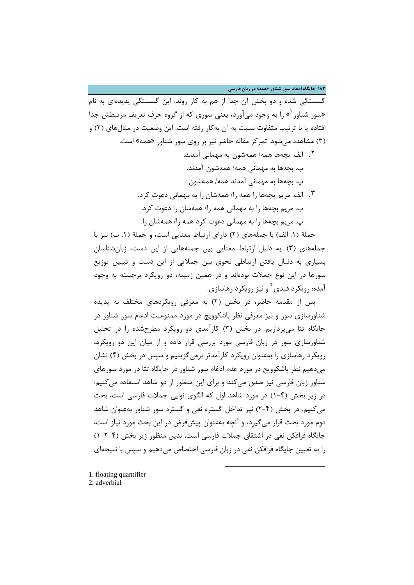**/82 جایگاه ادغام سور شناور «همه» در زبان فارسی**

گسستگی شده و دو بخش آن جدا از هم به کار روند. این گسستگی پدیدهاي به نام «سور شناور `» را به وجود میآورد، یعنی سوری که از گروه حرف تعریف مرتبطش جدا افتاده یا با ترتیب متفاوت نسبت به آن بهکار رفته است. این وضعیت در مثالهاي (2) و (3) مشاهده میشود. تمرکز مقاله حاضر نیز بر روي سور شناور «همه» است. .[۲](#page-5-0) الف. بچهها همه/ همهشون به مهمانی آمدند.

- ب. بچهها به مهمانی همه/ همهشون آمدند. پ. بچهها به مهمانی آمدند همه/ همهشون .
- .۳ الف. مریم بچهها را همه را/ همهشان را به مهمانی دعوت کرد. ب. مریم بچهها را به مهمانی همه را/ همهشان را دعوت کرد. پ. مریم بچهها را به مهمانی دعوت کرد همه را/ همهشان را.

جملۀ (.1 الف) با جملههاي (2) داراي ارتباط معنایی است، و جملۀ (.1 ب) نیز با جملههاي (3). به دلیل ارتباط معنایی بین جملههایی از این دست، زبانشناسان بسیاري به دنبال یافتن ارتباطی نحوي بین جملاتی از این دست و تبیین توزیع سورها در این نوع جملات بودهاند و در همین زمینه، دو رویکرد برجسته به وجود آمده: رویکرد قیدی <sup>۲</sup> و نیز رویکرد رهاسازی.

پس از مقدمه حاضر، در بخش (2) به معرفی رویکردهاي مختلف به پدیده شناورسازي سور و نیز معرفی نظر باشکوویچ در مورد ممنوعیت ادغام سور شناور در جایگاه تتا میپردازیم. در بخش (3) کارآمدي دو رویکرد مطرحشده را در تحلیل شناورسازي سور در زبان فارسی مورد بررسی قرار داده و از میان این دو رویکرد، رویکرد رهاسازي را بهعنوان رویکرد کارآمدتر برمیگزینیم و سپس در بخش (4) نشان میدهیم نظر باشکوویچ در مورد عدم ادغام سور شناور در جایگاه تتا در مورد سورهاي شناور زبان فارسی نیز صدق میکند و براي این منظور از دو شاهد استفاده میکنیم: در زیر بخش (1-4) در مورد شاهد اول که الگوي نوایی جملات فارسی است، بحث میکنیم. در بخش (2-4) نیز تداخل گستره نفی و گستره سور شناور بهعنوان شاهد دوم مورد بحث قرار میگیرد، و آنچه بهعنوان پیشفرض در این بحث مورد نیاز است، جایگاه فرافکن نفی در اشتقاق جملات فارسی است، بدین منظور زیر بخش (1-2-4) را به تعیین جایگاه فرافکن نفی در زبان فارسی اختصاص میدهیم و سپس با نتیجهاي

**.** 

<span id="page-5-1"></span><span id="page-5-0"></span>[1.](#page-5-1) floating quantifier 2. adverbial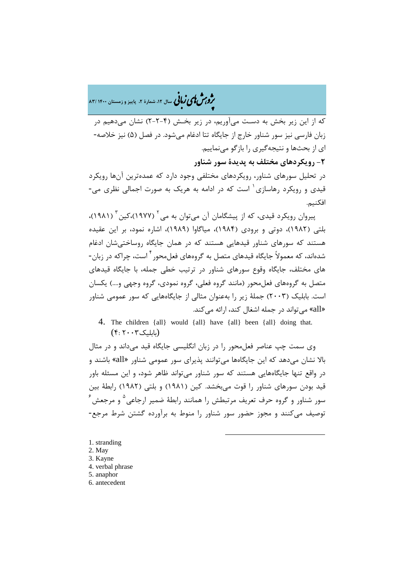�ی زبا **، سال ،12 شمارة ،2 پاییز و زمستان 1400 83/** � �و ی �ش

که از این زیر بخش به دسـت میآوریم، در زیر بخـش (2-2-4) نشان میدهیم در زبان فارسی نیز سور شناور خارج از جایگاه تتا ادغام میشود. در فصل (5) نیز خلاصه- اي از بحثها و نتیجهگیري را بازگو مینماییم. **-2 رویکردهاي مختلف به پدیدة سور شناور**

در تحلیل سورهاي شناور، رویکردهاي مختلفی وجود دارد که عمدهترین آنها رویکرد قیدی و رویکرد رهاسازی<sup>۱</sup> است که در ادامه به هریک به صورت اجمالی نظری می-افکنیم.

پیروان رویکرد قیدی، که از پیشگامان آن [می](#page-6-0)توان به می<sup>۲</sup> (۱۹۷۷)،کین <sup>۳</sup> (۱۹۸۱)، بلتی (1982)، دوتی و برودي (1984)، میاگاوا (1989)، اشاره نمود، بر این عقیده هستند که سورهاي شناور قیدهایی هستند که در همان جایگاه روساختیشان ادغام شدهاند، که معمولاً جایگاه قیدهای متصل به گروههای فعلمحور <sup>۴</sup> است، چراکه در زبان-هاي مختلف، جایگاه وقوع سورهاي شناور در ترتیب خطی جمله، با جایگاه قیدهاي متصل به گروههاي فعلمحور (مانند گروه فعلی، گروه نمودي، گروه وجهی و....) یکسان است. بابلیک (2003) جملۀ زیر را بهعنوان مثالی از جایگاههایی که سور عمومی شناور «all «میتواند در جمله اشغال کند، ارائه میکند.

4. The children {all} would {all} have {all} been {all} doing that. (بابلیک2003 4:)

وي سمت چپ عناصر فعلمحور را در زبان انگلیسی جایگاه قید میداند و در مثال بالا نشان میدهد که این جایگاهها میتوانند پذیرای سور عمومی شناور «all» باشند و در واقع تنها جایگاههایی هستند که سور شناور میتواند ظاهر شود، و این مسئله باور قید بودن سورهاي شناور را قوت میبخشد. کین (1981) و بلتی (1982) رابطۀ بین  $^{\circ}$ سور شناور و گروه حرف تعریف مرتبطش را همانند رابطهٔ ضمیر ارجاعی $^{\circ}$  و مرجعش توصیف میکنند و مجوز حضور سور شناور را منوط به برآورده گشتن شرط مرجع-

1

<span id="page-6-5"></span><span id="page-6-4"></span><span id="page-6-3"></span><span id="page-6-2"></span><span id="page-6-1"></span><span id="page-6-0"></span>[1.](#page-6-5) stranding 2. May 3. Kayne 4. verbal phrase 5. anaphor 6. antecedent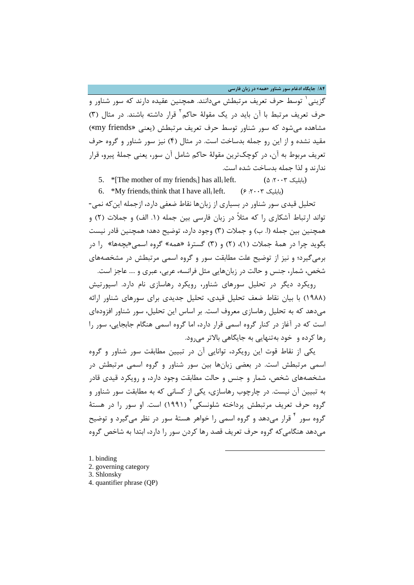**/84 جایگاه ادغام سور شناور «همه» در زبان فارسی**

۔<br>گزینی <sup>۱</sup> توسط حرف تعریف مرتبطش میدانند. همچنین عقیده دارند که سور شناور و حرف تعریف مرتبط با آن باید در یک مقولهٔ حاکم<sup>۲</sup> قرار داشته باشند. در مثال (۳) مشاهده میشود که سور شناور توسط حرف تعریف مرتبطش (یعنی «friends my (« مقید نشده و از این رو جمله بدساخت است. در مثال (4) نیز سور شناور و گروه حرف تعریف مربوط به آن، در کوچکترین مقولۀ حاکم شامل آن سور، یعنی جملۀ پیرو، قرار ندارند و لذا جمله بدساخت شده است.

- 5. \* [The mother of my friends<sub>i</sub>] has all<sub>i</sub> left. (4.3003) (6.3003)
- 6. \*My friends<sub>i</sub> think that I have all<sub>i</sub> left. (6. \*  $\cdots$  )

تحلیل قیدي سور شناور در بسیاري از زبانها نقاط ضعفی دارد، ازجمله اینکه نمی- تواند ارتباط آشکاري را که مثلاً در زبان فارسی بین جمله (.1 الف) و جملات (2) و همچنین بین جمله (ا. ب) و جملات (3) وجود دارد، توضیح دهد؛ همچنین قادر نیست بگوید چرا در همۀ جملات (1)، (2) و (3) گسترة «همه» گروه اسمی«بچهها» را در برمیگیرد؛ و نیز از توضیح علت مطابقت سور و گروه اسمی مرتبطش در مشخصههاي شخص، شمار، جنس و حالت در زبانهایی مثل فرانسه، عربی، عبري و .... عاجز است.

رویکرد دیگر در تحلیل سورهاي شناور، رویکرد رهاسازي نام دارد. اسپورتیش (1988) با بیان نقاط ضعف تحلیل قیدي، تحلیل جدیدي براي سورهاي شناور ارائه میدهد که به تحلیل رهاسازي معروف است. بر اساس این تحلیل، سور شناور افزودهاي است که در آغاز در کنار گروه اسمی قرار دارد، اما گروه اسمی هنگام جابجایی، سور را رها کرده و خود بهتنهایی به جایگاهی بالاتر میرود.

یکی از نقاط قوت این رویکرد، توانایی آن در تبیین مطابقت سور شناور و گروه اسمی مرتبطش است. در بعضی زبانها بین سور شناور و گروه اسمی مرتبطش در مشخصههاي شخص، شمار و جنس و حالت مطابقت وجود دارد، و رویکرد قیدي قادر به تبیین آن نیست. در چارچوب رهاسازي، یکی از کسانی که به مطابقت سور شناور و گروه حرف تعریف مرتبطش پرداخته شلونسکی آ (۱۹۹۱) است. او سور را در هستهٔ گروه سور آ قرار میدهد و گروه اسمی را خواهر هستۀ سور در نظر می گیرد و توضیح میدهد هنگامیکه گروه حرف تعریف قصد رها کردن سور را دارد، ابتدا به شاخص گروه

1

<span id="page-7-3"></span><span id="page-7-2"></span><span id="page-7-1"></span><span id="page-7-0"></span>[1.](#page-7-3) binding 2. governing category 3. Shlonsky 4. quantifier phrase (QP)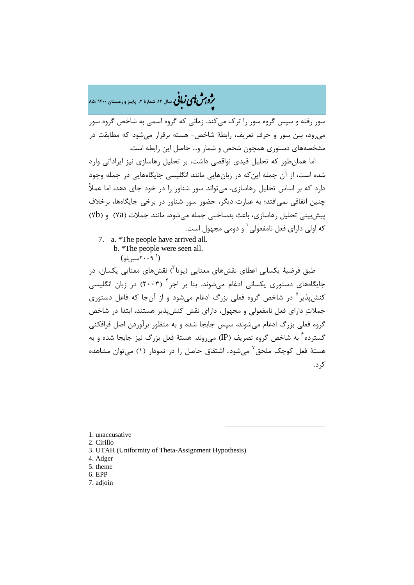�ی زبا **، سال ،12 شمارة ،2 پاییز و زمستان 1400 85/** � �و ی �ش

سور رفته و سپس گروه سور را ترك میکند. زمانی که گروه اسمی به شاخص گروه سور میرود، بین سور و حرف تعریف، رابطۀ شاخص- هسته برقرار میشود که مطابقت در مشخصههاي دستوري همچون شخص و شمار و... حاصل این رابطه است.

اما همانطور که تحلیل قیدي نواقصی داشت، بر تحلیل رهاسازي نیز ایراداتی وارد شده است، از آن جمله اینکه در زبانهایی مانند انگلیسی جایگاههایی در جمله وجود دارد که بر اساس تحلیل رهاسازي، میتواند سور شناور را در خود جاي دهد، اما عملاً چنین اتفاقی نمیافتد؛ به عبارت دیگر، حضور سور شناور در برخی جایگاهها، برخلاف پیشبینی تحلیل رهاسازي، باعث بدساختی جمله میشود، مانند جملات (a7 (و (b7 ( که اولی دارای فعل نامفعولی <sup>۱</sup> و دومی مجهول است.

- [7](#page-8-0). a. \*The people have arrived all.
	- b. \*The people were seen all.  $(1 - Y \cdot 9)^7$ سیریلو)

طبق فرضیۀ یکسانی اعطای نقشهای معنایی (یوتا<sup>۳</sup>) نقشهای معنایی یکسان، در جایگاههای دستوری یکسانی ادغام میشوند. بنا بر اجر<sup>۴</sup> (۲۰۰۳) در زبان انگلیسی کنش پذیر <sup>۵</sup> در شاخص گروه فعلی بزرگ ادغام می شود و از آنجا که فاعل دستوری جملات داراي فعل نامفعولی و مجهول، داراي نقش کنشپذیر هستند، ابتدا در شاخص گروه فعلی بزرگ ادغام میشوند، سپس جابجا شده و به منظور برآوردن اصل فرافکنی گسترده <sup>۶</sup> به شاخص گروه تصریف (IP) می روند. هستۀ فعل بزرگ نیز جابجا شده و به هستۀ فعل کوچک ملحق<sup>۷</sup> میشود. اشتقاق حاصل را در نمودار (۱) میتوان مشاهده کرد.

-

<span id="page-8-0"></span>1. unaccusative

- <span id="page-8-1"></span>2. Cirillo
- <span id="page-8-2"></span>3. UTAH (Uniformity of Theta-Assignment Hypothesis)
- <span id="page-8-3"></span>4. Adger
- <span id="page-8-4"></span>5. theme
- <span id="page-8-5"></span>6. EPP
- <span id="page-8-6"></span>7. adjoin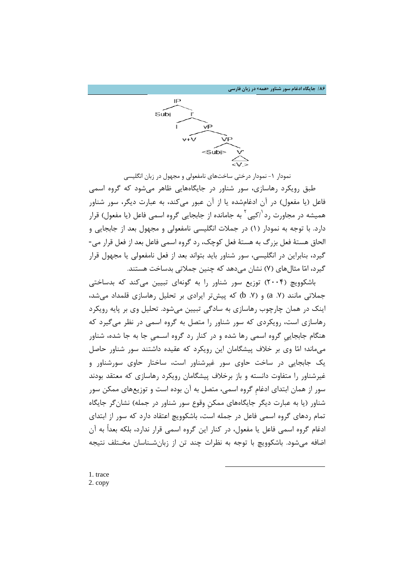**/86 جایگاه ادغام سور شناور «همه» در زبان فارسی**



نمودار ۱- نمودار درختی ساختهای نامفعولی و مجهول در زبان انگلیسی طبق رویکرد رهاسازي، سور شناور در جایگاههایی ظاهر میشود که گروه اسمی فاعل (یا مفعول) در آن ادغامشده یا از آن عبور میکند، به عبارت دیگر، سور شناور همیشه در مجاورت رد <sup>(</sup>/کپی <sup>۲</sup> به جامانده از جابجایی گروه اسمی فاعل (یا مفعول) قرار دارد. با توجه به نمودار (1) در جملات انگلیسی نامفعولی و مجهول بعد از جابجایی و الحاق هستۀ فعل بزرگ به هستۀ فعل کوچک، رد گروه اسمی فاعل بعد از فعل قرار می- گیرد، بنابراین در انگلیسی، سور شناور باید بتواند بعد از فعل نامفعولی یا مجهول قرار گیرد، اما مثالهاي (7) نشان میدهد که چنین جملاتی بدساخت هستند.

[با](#page-9-1)شکوویچ (2004) توزیع سور شناور را به گونهاي تبیین میکند که بدساختی جملاتی مانند (8. a) و (V. b) که پیشتر ایرادی بر تحلیل رهاسازی قلمداد می شد، اینک در همان چارچوب رهاسازي به سادگی تبیین میشود. تحلیل وي بر پایه رویکرد رهاسازي است، رویکردي که سور شناور را متصل به گروه اسمی در نظر میگیرد که هنگام جابجاییِ گروه اسمی رها شده و در کنار رد گروه اسـمیِ جا به جا شده، شناور میماند؛ اما وي بر خلاف پیشگامان این رویکرد که عقیده داشتند سور شناور حاصل یک جابجایی در ساخت حاوي سور غیرشناور است، ساختار حاوي سورشناور و غیرشناور را متفاوت دانسته و باز برخلاف پیشگامان رویکرد رهاسازي که معتقد بودند سور از همان ابتداي ادغامِ گروه اسمی، متصل به آن بوده است و توزیعهاي ممکن سور شناور (یا به عبارت دیگر جایگاههاي ممکنِ وقوع سور شناور در جمله) نشانگر جایگاه تمام ردهاي گروه اسمی فاعل در جمله است، باشکوویچ اعتقاد دارد که سور از ابتداي ادغام گروه اسمی فاعل یا مفعول، در کنار این گروه اسمی قرار ندارد، بلکه بعداً به آن اضافه میشود. باشکوویچ با توجه به نظرات چند تن از زبانشـناسان مخـتلف نتیجه

**.** 

<span id="page-9-1"></span><span id="page-9-0"></span>1. trace 2. copy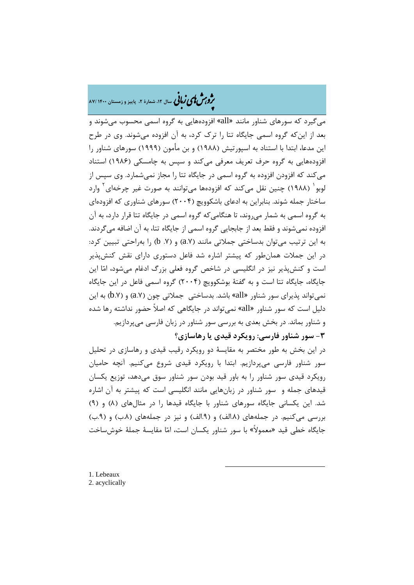# �ی زبا **، سال ،12 شمارة ،2 پاییز و زمستان 1400 87/** � �و ی �ش

میگیرد که سورهاي شناور مانند «all «افزودههایی به گروه اسمی محسوب میشوند و بعد از اینکه گروه اسمی جایگاه تتا را ترك کرد، به آن افزوده میشوند. وي در طرح این مدعا، ابتدا با استناد به اسپورتیش (1988) و بن مأمون (1999) سورهاي شناور را افزودههایی به گروه حرف تعریف معرفی میکند و سپس به چامسکی (1986) استناد میکند که افزودن افزوده به گروه اسمی در جایگاه تتا را مجاز نمیشمارد. وي سپس از لوبو ( ۱۹۸۸) چنین نقل میکند که افزودهها میتوانند به صورت غیر چرخهای p وارد ساختار جمله شوند. بنابراین به ادعاي باشکوویچ (2004) سورهاي شناوري که افزودهاي به گروه اسمی به شمار میروند، تا هنگامیکه گروه اسمی در جایگاه تتا قرار دارد، به آن افزوده نمیشوند و فقط بعد از جابجایی گروه اسمی از جایگاه تتا، به آن اضافه میگردند. به این ترتیب میتوان بدساختی جملاتی مانند (.7a (و (.7 b (را بهراحتی تبیین کرد: در این جملات همانطور که پیشتر اشاره شد فاعل دستوري داراي نقش کنشپذیر است و کنشپذیر نیز در انگلیسی در شاخص گروه فعلی بزرگ ادغام میشود، اما این جایگاه، جایگاه تتا است و به گفتۀ بوشکوویچ (2004) گروه اسمی فاعل در این جایگاه نمی تواند پذیرای سور شناور «all» باشد. بدساختی جملاتی چون (a.Y) و (b.Y) به این دلیل است که سور شناور «all «نمیتواند در جایگاهی که اصلاً حضور نداشته رها شده و شناور بماند. در بخش بعدي به بررسی سور شناور در زبان فارسی میپردازیم. **-3 سور شناور فارسی: رویکرد قیدي یا رهاسازي؟**

در این بخش به طور مختصر به مقایسۀ دو رویکرد رقیب قیدي و رهاسازي در تحلیل سور شناور فارسی میپردازیم. ابتدا با رویکرد قیدي شروع میکنیم. آنچه حامیان رویکرد قیدي سور شناور را به باور قید بودن سور شناور سوق میدهد، توزیع یکسان قیدهاي جمله و سور شناور در زبانهایی مانند انگلیسی است که پیشتر به آن اشاره شد. این یکسانی جایگاه سورهاي شناور با جایگاه قیدها را در مثالهاي (8) و (9) بررسی میکنیم. در جملههاي (.8الف) و (.9الف) و نیز در جملههاي (.8ب) و (.9ب) جایگاه خطی قید «معمولاً» با سور شناور یکسان است، اما مقایسۀ جملۀ خوشساخت

**.** 

<span id="page-10-1"></span><span id="page-10-0"></span>1. Lebeaux 2. acyclically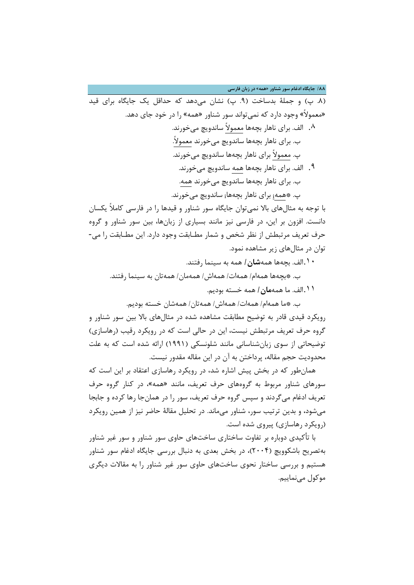**/88 جایگاه ادغام سور شناور «همه» در زبان فارسی**

(.8 پ) و جملۀ بدساخت (.9 پ) نشان میدهد که حداقل یک جایگاه براي قید «معمولاً» وجود دارد که نمیتواند سور شناور «همه» را در خود جاي دهد. .۸ الف. براي ناهار بچهها معمولاً ساندویچ میخورند. ب. براي ناهار بچهها ساندویچ میخورند معمولا.ً پ. معمولاً براي ناهار بچهها ساندویچ میخورند. .۹ الف. براي ناهار بچهها همه ساندویچ میخورند. ب. براي ناهار بچهها ساندویچ میخورند همه. پ. \*همه<sup>i</sup> براي ناهار بچهها<sup>i</sup> ساندویچ میخورند.

با توجه به مثالهاي بالا نمیتوان جایگاه سور شناور و قیدها را در فارسی کاملاً یکسان دانست. افزون بر این، در فارسی نیز مانند بسیاري از زبانها، بین سور شناور و گروه حرف تعریف مرتبطش از نظر شخص و شمار مطـابقت وجود دارد. این مطـابقت را می- توان در مثالهاي زیر مشاهده نمود.

- .۱۰الف. بچهها همه**شان/** همه به سینما رفتند.
- ب. \*بچهها همهام/ همهات/ همهاش/ همهمان/ همهتان به سینما رفتند.
	- .۱۱الف. ما همه**مان/** همه خسته بودیم.

ب. \*ما همهام/ همهات/ همهاش/ همهتان/ همهشان خسته بودیم.

رویکرد قیدي قادر به توضیح مطابقت مشاهده شده در مثالهاي بالا بین سور شناور و گروه حرف تعریف مرتبطش نیست، این در حالی است که در رویکرد رقیب (رهاسازي) توضیحاتی از سوي زبانشناسانی مانند شلونسکی (1991) ارائه شده است که به علت محدودیت حجم مقاله، پرداختن به آن در این مقاله مقدور نیست.

همانطور که در بخش پیش اشاره شد، در رویکرد رهاسازي اعتقاد بر این است که سورهاي شناور مربوط به گروههاي حرف تعریف، مانند «همه»، در کنار گروه حرف تعریف ادغام میگردند و سپس گروه حرف تعریف، سور را در همانجا رها کرده و جابجا میشود، و بدین ترتیب سور، شناور میماند. در تحلیل مقالۀ حاضر نیز از همین رویکرد (رویکرد رهاسازي) پیروي شده است.

با تأکیدي دوباره بر تفاوت ساختاري ساختهاي حاوي سور شناور و سور غیر شناور بهتصریح باشکوویچ (2004)، در بخش بعدي به دنبال بررسی جایگاه ادغام سور شناور هستیم و بررسی ساختار نحوي ساختهاي حاوي سور غیر شناور را به مقالات دیگري موکول مے نماییم.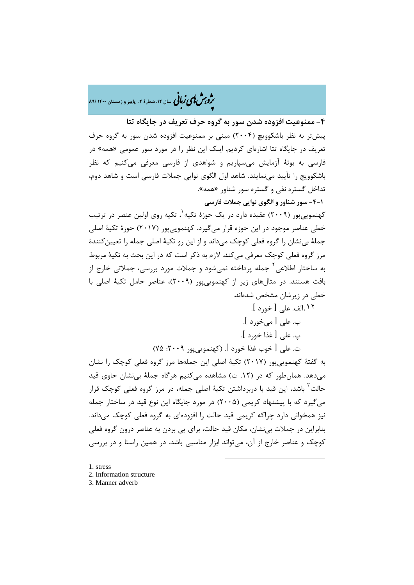�ی زبا **، سال ،12 شمارة ،2 پاییز و زمستان 1400 89/** � �و ی �ش

**-4 ممنوعیت افزوده شدن سور به گروه حرف تعریف در جایگاه تتا** پیشتر به نظر باشکوویچ (2004) مبنی بر ممنوعیت افزوده شدن سور به گروه حرف تعریف در جایگاه تتا اشارهاي کردیم. اینک این نظر را در مورد سور عمومی «همه» در فارسی به بوتۀ آزمایش میسپاریم و شواهدي از فارسی معرفی میکنیم که نظر باشکوویچ را تأیید مینمایند. شاهد اول الگوي نوایی جملات فارسی است و شاهد دوم، تداخل گستره نفی و گستره سور شناور «همه».

**-4-1 سور شناور و الگوي نوایی جملات فارسی**

کهنمویی پور (۲۰۰۹) عقیده دارد در یک حوزهٔ تکیه <sup>۱</sup>[،](#page-12-0) تکیه روی اولین عنصر در ترتیب خطی عناصر موجود در این حوزه قرار میگیرد. کهنموییپور (2017) حوزة تکیۀ اصلی جملۀ بینشان را گروه فعلی کوچک میداند و از این رو تکیۀ اصلی جمله را تعیینکنندة مرز گروه فعلی کوچک معرفی میکند. لازم به ذکر است که در این بحث به تکیۀ مربوط به ساختار اطلاعی ٔ جمله پرداخته نمیشود و جملات مورد بررسی، جملاتی خارج از بافت هستند. در مثالهاي زیر از کهنموییپور (2009)، عناصر حامل تکیۀ اصلی با خطی در زیرشان مشخص شدهاند.

.[۱۲](#page-12-1)الف. علی [ خورد ]. ب. علی [ میخورد ]. پ. علی [ غذا خورد ]. ت. علی [ خوب غذا خورد ]. (کهنمویی پور ۲۰۰۹: ۷۵)

به گفتۀ کهنموییپور (2017) تکیۀ اصلی این جملهها مرز گروه فعلی کوچک را نشان میدهد. همانطور که در (.12 ت) مشاهده میکنیم هرگاه جملۀ بینشان حاوي قید حالت<sup>۲</sup> باشد، این قید با دربرداشتن تکیۀ اصلی جمله، در مرز گروه فعلی کوچک قرار میگیرد که با پیشنهاد کریمی (2005) در مورد جایگاه این نوع قید در ساختار جمله نیز همخوانی دارد چراکه کریمی قید حالت را افزودهاي به گروه فعلی کوچک میداند. بنابراین در جملات بینشان، مکان قید حالت، براي پی بردن به عناصر درون گروه فعلی کوچک و عناصر خارج از آن، میتواند ابزار مناسبی باشد. در همین راستا و در بررسی

**.** 

- <span id="page-12-0"></span>[1.](#page-12-2) stress
- <span id="page-12-1"></span>2. Information structure
- <span id="page-12-2"></span>3. Manner adverb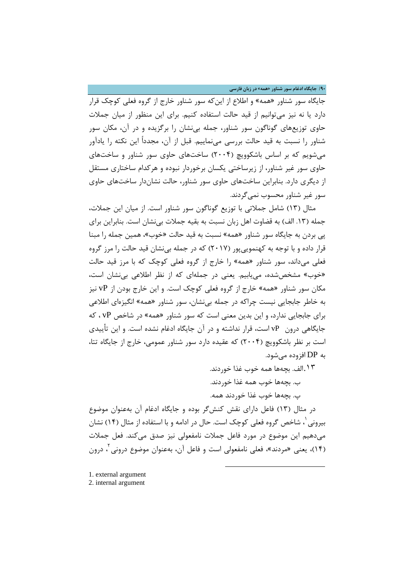**/90 جایگاه ادغام سور شناور «همه» در زبان فارسی**

جایگاه سور شناور «همه» و اطلاع از اینکه سور شناور خارج از گروه فعلی کوچک قرار دارد یا نه نیز میتوانیم از قید حالت استفاده کنیم. براي این منظور از میان جملات حاوي توزیعهاي گوناگون سور شناور، جمله بینشان را برگزیده و در آن، مکان سور شناور را نسبت به قید حالت بررسی مینماییم. قبل از آن، مجدداً این نکته را یادآور میشویم که بر اساس باشکوویچ (2004) ساختهاي حاوي سور شناور و ساختهاي حاوي سور غیر شناور، از زیرساختی یکسان برخوردار نبوده و هرکدام ساختاري مستقل از دیگري دارد. بنابراین ساختهاي حاوي سور شناور، حالت نشاندار ساختهاي حاوي سور غیر شناور محسوب نمیگردند.

مثال (13) شامل جملاتی با توزیع گوناگون سور شناور است. از میان این جملات، جمله (.13 الف) به قضاوت اهل زبان نسبت به بقیه جملات بینشان است. بنابراین براي پی بردن به جایگاه سور شناور «همه» نسبت به قید حالت «خوب»، همین جمله را مبنا قرار داده و با توجه به کهنموییپور (2017) که در جمله بینشان قید حالت را مرز گروه فعلی میداند، سور شناور «همه» را خارج از گروه فعلی کوچک که با مرز قید حالت «خوب» مشخصشده، مییابیم. یعنی در جملهاي که از نظر اطلاعی بینشان است، مکان سور شناور «همه» خارج از گروه فعلی کوچک است. و این خارج بودن از vP نیز به خاطر جابجایی نیست چراکه در جمله بینشان، سور شناور «همه» انگیزهاي اطلاعی براي جابجایی ندارد، و این بدین معنی است که سور شناور «همه» در شاخص vP ، که جایگاهی درون vP است، قرار نداشته و در آن جایگاه ادغام نشده است. و این تأییدي است بر نظر باشکوویچ (2004) که عقیده دارد سور شناور عمومی، خارج از جایگاه تتا، به DP افزوده میشود.

.۱۳الف. بچهها همه خوب غذا خوردند.

ب. بچهها خوب همه غذا خوردند.

پ. بچهها خوب غذا خوردند همه.

در مثال (13) فاعل داراي نقش کنشگر بوده و جایگاه ادغام آن بهعنوان موضوع ، شاخص گروه فعلی کوچک است. حال در ادامه و با استفاده از مثال (14) نشان [1](#page-13-0) بیرونی میدهیم این موضوع در مورد فاعل جملات نامفعولی نیز صدق میکند. فعل جملات 2 (14)، یعنی «مردند»، فعلی نامفعولی است و فاعل آن، بهعنوان موضوع درونی ، درون

**.** 

<span id="page-13-0"></span>[1.](#page-13-1) external argument

<span id="page-13-1"></span><sup>2.</sup> internal argument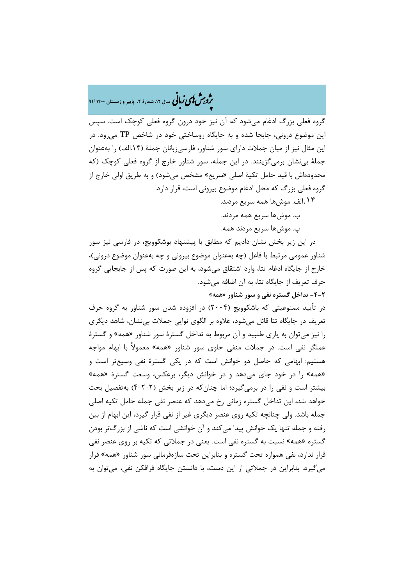�ی زبا **، سال ،12 شمارة ،2 پاییز و زمستان 1400 91/** � �و ی �ش

گروه فعلی بزرگ ادغام میشود که آن نیز خود درون گروه فعلی کوچک است. سپس این موضوع درونی، جابجا شده و به جایگاه روساختی خود در شاخص TP میرود. در این مثال نیز از میان جملات داراي سور شناور، فارسیزبانان جملۀ (.14الف) را بهعنوان جملۀ بینشان برمیگزینند. در این جمله، سور شناور خارج از گروه فعلی کوچک (که محدودهاش با قید حامل تکیۀ اصلی «سریع» مشخص میشود) و به طریق اولی خارج از گروه فعلی بزرگ که محل ادغام موضوع بیرونی است، قرار دارد.

.۱۴الف. موشها همه سریع مردند.

ب. موشها سریع همه مردند.

پ. موشها سریع مردند همه.

در این زیر بخش نشان دادیم که مطابق با پیشنهاد بوشکوویچ، در فارسی نیز سور شناور عمومی مرتبط با فاعل (چه بهعنوان موضوع بیرونی و چه بهعنوان موضوع درونی)، خارج از جایگاه ادغام تتا، وارد اشتقاق میشود، به این صورت که پس از جابجایی گروه حرف تعریف از جایگاه تتا، به آن اضافه میشود.

**-4-2 تداخل گستره نفی و سور شناور «همه»**

در تأیید ممنوعیتی که باشکوویچ (2004) در افزوده شدن سور شناور به گروه حرف تعریف در جایگاه تتا قائل میشود، علاوه بر الگوي نوایی جملات بینشان، شاهد دیگري را نیز میتوان به یاري طلبید و آن مربوط به تداخل گسترة سور شناور «همه» و گسترة عملگر نفی است. در جملات منفی حاوي سور شناور «همه» معمولاً با ابهام مواجه هستیم: ابهامی که حاصل دو خوانش است که در یکی گسترة نفی وسیعتر است و «همه» را در خود جاي میدهد و در خوانش دیگر، برعکس، وسعت گسترة «همه» بیشتر است و نفی را در برمیگیرد؛ اما چنانکه در زیر بخش (4-2-2) بهتفصیل بحث خواهد شد، این تداخل گستره زمانی رخ میدهد که عنصر نفی جمله حامل تکیه اصلی جمله باشد. ولی چنانچه تکیه روي عنصر دیگري غیر از نفی قرار گیرد، این ابهام از بین رفته و جمله تنها یک خوانش پیدا میکند و آن خوانشی است که ناشی از بزرگتر بودن گستره «همه» نسبت به گستره نفی است. یعنی در جملاتی که تکیه بر روي عنصر نفی قرار ندارد، نفی همواره تحت گستره و بنابراین تحت سازهفرمانی سور شناور «همه» قرار میگیرد. بنابراین در جملاتی از این دست، با دانستن جایگاه فرافکن نفی، میتوان به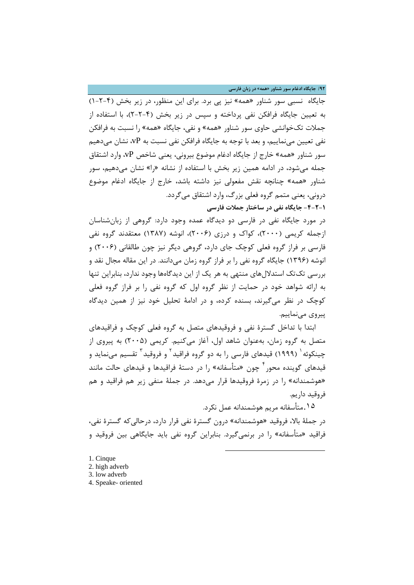**/92 جایگاه ادغام سور شناور «همه» در زبان فارسی**

جایگاه نسبی سور شناور «همه» نیز پی برد. براي این منظور، در زیر بخش (1-2-4) به تعیین جایگاه فرافکن نفی پرداخته و سپس در زیر بخش (2-2-4)، با استفاده از جملات تکخوانشی حاوي سور شناور «همه» و نفی، جایگاه «همه» را نسبت به فرافکن نفی تعیین مینماییم، و بعد با توجه به جایگاه فرافکن نفی نسبت به vP، نشان میدهیم سور شناور «همه» خارج از جایگاه ادغام موضوع بیرونی، یعنی شاخص vP، وارد اشتقاق جمله میشود، در ادامه همین زیر بخش با استفاده از نشانه «را» نشان میدهیم، سور شناور «همه» چنانچه نقش مفعولی نیز داشته باشد، خارج از جایگاه ادغام موضوع درونی، یعنی متمم گروه فعلی بزرگ، وارد اشتقاق میگردد.

**-4-2-1 جایگاه نفی در ساختار جملات فارسی**

در مورد جایگاه نفی در فارسی دو دیدگاه عمده وجود دارد: گروهی از زبانشناسان ازجمله کریمی (2000)، کواك و درزي (2006)، انوشه (1387) معتقدند گروه نفی فارسی بر فراز گروه فعلی کوچک جاي دارد، گروهی دیگر نیز چون طالقانی (2006) و انوشه (1396) جایگاه گروه نفی را بر فراز گروه زمان میدانند. در این مقاله مجال نقد و بررسی تکتک استدلالهاي منتهی به هر یک از این دیدگاهها وجود ندارد، بنابراین تنها به ارائه شواهد خود در حمایت از نظر گروه اول که گروه نفی را بر فراز گروه فعلی کوچک در نظر میگیرند، بسنده کرده، و در ادامۀ تحلیل خود نیز از همین دیدگاه پیروي مینماییم.

ابتدا با تداخل گسترة نفی و فروقیدهاي متصل به گروه فعلی کوچک و فراقیدهاي متصل به گروه زمان، بهعنوان شاهد اول، آغاز میکنیم. کریمی (2005) به پیروي از چینکوئه <sup>(</sup> (۱۹۹۹) قیدهای فارسی را به دو گروه فراقید <sup>۲</sup> و فروقید <sup>۳</sup> تقسیم میiماید و قیدهای گوینده محو<sub>د</sub> <sup>۲</sup> چون «متأسفانه» را در دستهٔ فراقیدها و قیدهای حالت مانند «هوشمندانه» را در زمرة فروقیدها قرار میدهد. در جملۀ منفی زیر هم فراقید و هم فروقید داریم.

.[۱۵](#page-15-3)متأسفانه مریم هوشمندانه عمل نکرد. در جملۀ بالا، فروقید «هوشمندانه» درون گسترة نفی قرار دارد، درحالیکه گسترة نفی، فراقید «متأسفانه» را در برنمیگیرد. بنابراین گروه نفی باید جایگاهی بین فروقید و

1

- <span id="page-15-0"></span>1. Cinque
- <span id="page-15-1"></span>2. high adverb
- <span id="page-15-2"></span>3. low adverb
- <span id="page-15-3"></span>4. Speake- oriented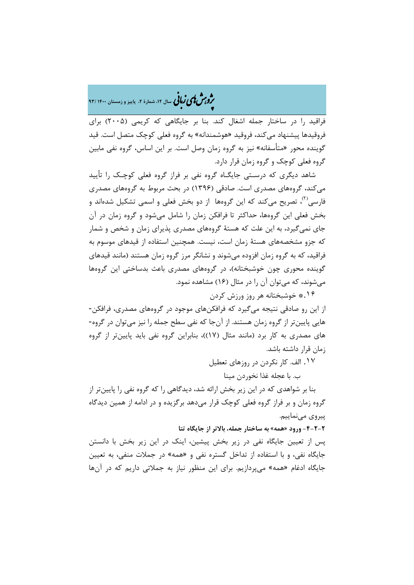�ی زبا **، سال ،12 شمارة ،2 پاییز و زمستان 1400 93/** � �و ی �ش

فراقید را در ساختار جمله اشغال کند. بنا بر جایگاهی که کریمی (2005) براي فروقیدها پیشنهاد میکند، فروقید «هوشمندانه» به گروه فعلی کوچک متصل است. قید گوینده محور «متأسفانه» نیز به گروه زمان وصل است. بر این اساس، گروه نفی مابین گروه فعلی کوچک و گروه زمان قرار دارد.

شاهد دیگري که درسـتی جایگـاه گروه نفی بر فراز گروه فعلی کوچـک را تأیید میکند، گروههاي مصدري است. صادقی (1396) در بحث مربوط به گروههاي مصدري فارسی<sup>(۲)</sup>، تصریح میکند که این گروهها از دو بخش فعلی و اسمی تشکیل شدهاند و بخش فعلی این گروهها، حداکثر تا فرافکن زمان را شامل میشود و گروه زمان در آن جاي نمیگیرد، به این علت که هستۀ گروههاي مصدري پذیراي زمان و شخص و شمار که جزو مشخصههاي هستۀ زمان است، نیست. همچنین استفاده از قیدهاي موسوم به فراقید، که به گروه زمان افزوده میشوند و نشانگر مرز گروه زمان هستند (مانند قیدهاي گوینده محوري چون خوشبختانه)، در گروههاي مصدري باعث بدساختی این گروهها میشوند، که میتوان آن را در مثال (16) مشاهده نمود. .۱۶\* خوشبختانه هر روز ورزش کردن

از این رو صادقی نتیجه میگیرد که فرافکنهاي موجود در گروههاي مصدري، فرافکن- هایی پایینتر از گروه زمان هستند. از آنجا که نفی سطح جمله را نیز میتوان در گروه- هاي مصدري به کار برد (مانند مثال (17))، بنابراین گروه نفی باید پایینتر از گروه زمان قرار داشته باشد.

.۱۷ الف. کار نکردن در روزهاي تعطیل

ب. با عجله غذا نخوردن مینا

بنا بر شواهدي که در این زیر بخش ارائه شد، دیدگاهی را که گروه نفی را پایینتر از گروه زمان و بر فراز گروه فعلی کوچک قرار میدهد برگزیده و در ادامه از همین دیدگاه پیروي مینماییم.

**-4-2-2 ورود «همه» به ساختار جمله، بالاتر از جایگاه تتا**

پس از تعیین جایگاه نفی در زیر بخش پیشین، اینک در این زیر بخش با دانستن جایگاه نفی، و با استفاده از تداخل گستره نفی و «همه» در جملات منفی، به تعیین جایگاه ادغام «همه» میپردازیم. براي این منظور نیاز به جملاتی داریم که در آنها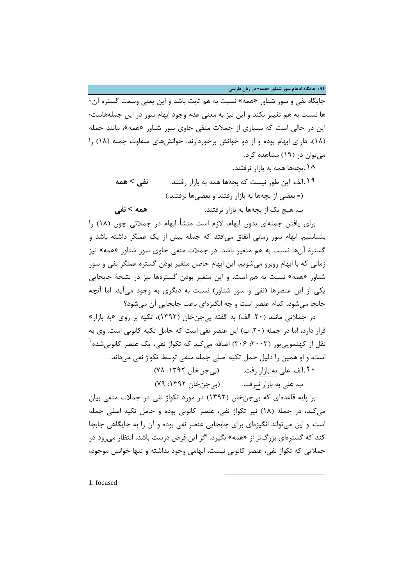**/94 جایگاه ادغام سور شناور «همه» در زبان فارسی**

جایگاه نفی و سور شناور «همه» نسبت به هم ثابت باشد و این یعنی وسعت گستره آن- ها نسبت به هم تغییر نکند و این نیز به معنی عدم وجود ابهام سور در این جملههاست؛ این در حالی است که بسیاري از جملات منفی حاوي سور شناور «همه»، مانند جمله (18)، داراي ابهام بوده و از دو خوانش برخوردارند. خوانشهاي متفاوت جمله (18) را میتوان در (19) مشاهده کرد.

> .۱۸بچهها همه به بازار نرفتند. .۱۹الف. این طور نیست که بچهها همه به بازار رفتند. **نفی > همه** (= بعضی از بچهها به بازار رفتند و بعضیها نرفتند.) ب. هیچ یک از بچهها به بازار نرفتند. **همه > نفی**

براي یافتن جملهاي بدون ابهام، لازم است منشأ ابهام در جملاتی چون (18) را بشناسیم. ابهام سور زمانی اتفاق میافتد که جمله بیش از یک عملگر داشته باشد و گسترة آنها نسبت به هم متغیر باشد. در جملات منفی حاوي سور شناور «همه» نیز زمانی که با ابهام روبرو میشویم، این ابهام حاصل متغیر بودن گستره عملگر نفی و سور شناور «همه» نسبت به هم است، و این متغیر بودن گسترهها نیز در نتیجۀ جابجایی یکی از این عنصرها (نفی و سور شناور) نسبت به دیگري به وجود میآید. اما آنچه جابجا میشود، کدام عنصر است و چه انگیزهاي باعث جابجایی آن میشود؟

در جملاتی مانند (.20 الف) به گفته بیجنخان (1392)، تکیه بر روي «به بازار» قرار دارد، اما در جمله (.20 ب) این عنصر نفی است که حامل تکیه کانونی است. وي به نقل از کهنموییپور (۲۰۰۳: ۳۰۶) اضافه میکند که تکواژ نفی، یک عنصر کانونیشده <sup>۱</sup> است، و او همین را دلیل حمل تکیه اصلی جمله منفی توسط تکواژ نفی میداند.

> .[۲۰](#page-17-0)الف. علی به بازار رفت. (بیجنخان :1392 78) ب. علی به بازار نـرفت. (بیجنخان :1392 79)

> > $\overline{a}$

بر پایه قاعدهاي که بیجنخان (1392) در مورد تکواژ نفی در جملات منفی بیان میکند، در جمله (18) نیز تکواژ نفی، عنصر کانونی بوده و حامل تکیه اصلی جمله است. و این میتواند انگیزهاي براي جابجایی عنصر نفی بوده و آن را به جایگاهی جابجا کند که گسترهاي بزرگتر از «همه» بگیرد. اگر این فرض درست باشد، انتظار میرود در جملاتی که تکواژ نفی، عنصر کانونی نیست، ابهامی وجود نداشته و تنها خوانش موجود،

<span id="page-17-0"></span>1. focused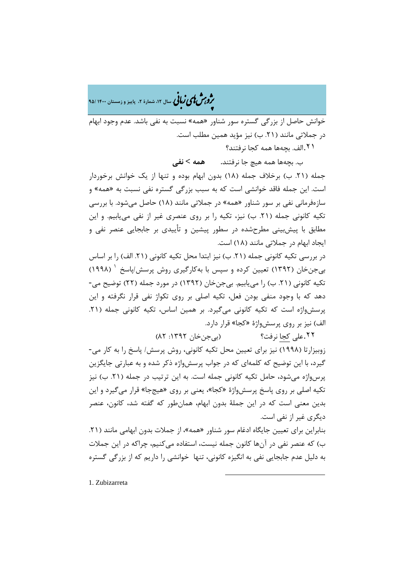�ی زبا **، سال ،12 شمارة ،2 پاییز و زمستان 1400 95/** � �و ی �ش

خوانش حاصل از بزرگی گستره سور شناور «همه» نسبت به نفی باشد. عدم وجود ابهام در جملاتی مانند (.21 ب) نیز مؤید همین مطلب است.

.۲۱الف. بچهها همه کجا نرفتند؟

ب. بچهها همه هیچ جا نرفتند**. همه > نفی**

جمله (.21 ب) برخلاف جمله (18) بدون ابهام بوده و تنها از یک خوانش برخوردار است. این جمله فاقد خوانشی است که به سبب بزرگی گستره نفی نسبت به «همه» و سازهفرمانی نفی بر سور شناور «همه» در جملاتی مانند (18) حاصل میشود. با بررسی تکیه کانونی جمله (.21 ب) نیز، تکیه را بر روي عنصري غیر از نفی مییابیم. و این مطابق با پیشبینی مطرحشده در سطور پیشین و تأییدي بر جابجایی عنصر نفی و ایجاد ابهام در جملاتی مانند (18) است.

در بررسی تکیه کانونی جمله (.21 ب) نیز ابتدا محل تکیه کانونی (.21 الف) را بر اساس بیجنخان (1392) تعیین کرده و سپس با بهکارگیري روش پرسش/پاسخ 1 (1998) تکیه کانونی (.21 ب) را مییابیم. بیجنخان (1392) در مورد جمله (22) توضیح می- دهد که با وجود منفی بودن فعل، تکیه اصلی بر روي تکواژ نفی قرار نگرفته و این پرسشواژه است که تکیه کانونی میگیرد. بر همین اساس، تکیه کانونی جمله (.21 الف) نیز بر روي پرسشواژة «کجا» قرار دارد.

.[۲۲](#page-18-0)علی کجا نرفت؟ (بیجنخان :1392 82)

زوبیزارتا (1998) نیز براي تعیین محل تکیه کانونی، روش پرسش/ پاسخ را به کار می- گیرد، با این توضیح که کلمهاي که در جواب پرسشواژه ذکر شده و به عبارتی جایگزین پرسواژه میشود، حامل تکیه کانونی جمله است. به این ترتیب در جمله (.21 ب) نیز تکیه اصلی بر روي پاسخ پرسشواژة «کجا»، یعنی بر روي «هیججا» قرار میگیرد و این بدین معنی است که در این جملۀ بدون ابهام، همانطور که گفته شد، کانون، عنصر دیگري غیر از نفی است.

بنابراین براي تعیین جایگاه ادغام سور شناور «همه»، از جملات بدون ابهامی مانند (.21 ب) که عنصر نفی در آنها کانون جمله نیست، استفاده میکنیم، چراکه در این جملات به دلیل عدم جابجایی نفی به انگیزه کانونی، تنها خوانشی را داریم که از بزرگی گستره

 $\overline{a}$ 

<span id="page-18-0"></span>1. Zubizarreta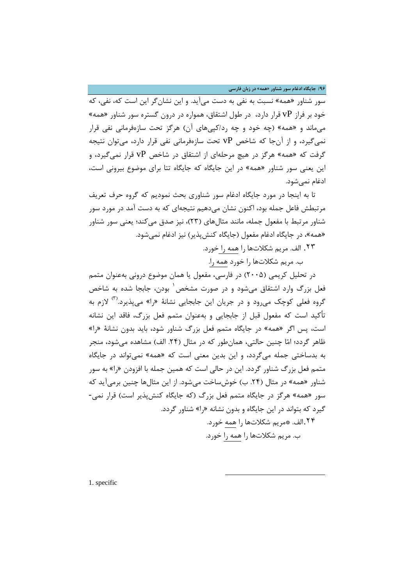**/96 جایگاه ادغام سور شناور «همه» در زبان فارسی**

سور شناور «همه» نسبت به نفی به دست میآید. و این نشانگر این است که، نفی، که خود بر فراز vP قرار دارد، در طول اشتقاق، همواره در درون گستره سور شناور «همه» میماند و «همه» (چه خود و چه رد/کپیهاي آن) هرگز تحت سازهفرمانی نفی قرار نمیگیرد، و از آنجا که شاخص vP تحت سازهفرمانی نفی قرار دارد، میتوان نتیجه گرفت که «همه» هرگز در هیچ مرحلهاي از اشتقاق در شاخص vP قرار نمیگیرد، و این یعنی سور شناور «همه» در این جایگاه که جایگاه تتا براي موضوع بیرونی است، ادغام نمیشود.

تا به اینجا در مورد جایگاه ادغام سور شناوري بحث نمودیم که گروه حرف تعریف مرتبطش فاعل جمله بود، اکنون نشان میدهیم نتیجهاي که به دست آمد در مورد سور شناور مرتبط با مفعول جمله، مانند مثالهاي (23)، نیز صدق میکند؛ یعنی سور شناور «همه»، در جایگاه ادغام مفعول (جایگاه کنشپذیر) نیز ادغام نمیشود.

.۲۳ الف. مریم شکلاتها را همه را خورد.

ب. مریم شکلاتها را خورد همه را.

در تحلیل کریمی (2005) در فارسی، مفعول یا همان موضوع درونی بهعنوان متمم فعل بزرگ وارد اشتقاق میشود و در صورت مشخص ی بودن، جابجا شده به شاخص گروه فعلی کوچک می رود و در جریان این جابجایی نشانۀ «را» میپذیرد.<sup>(۱۰</sup> لازم به تأکید است که مفعول قبل از جابجایی و بهعنوان متمم فعل بزرگ، فاقد این نشانه است، پس اگر «همه» در جایگاه متمم فعل بزرگ شناور شود، باید بدون نشانۀ «را» ظاهر گردد؛ اما چنین حالتی، همانطور که در مثال (.24 الف) مشاهده میشود، منجر به بدساختی جمله میگردد، و این بدین معنی است که «همه» نمیتواند در جایگاه متمم فعل بزرگ شناور گردد. این در حالی است که همین جمله با افزودن «را» به سور شناور «همه» در مثال (.24 ب) خوشساخت میشود. از این مثالها چنین برمیآید که سور «همه» هرگز در جایگاه متمم فعل بزرگ (که جایگاه کنشپذیر است) قرار نمی- گیرد که بتواند در این جایگاه و بدون نشانه «را» شناور گردد. .[۲۴](#page-19-0)الف. \*مریم شکلاتها را همه خورد.

ب. مریم شکلاتها را همه را خورد.

 $\overline{a}$ 

<span id="page-19-0"></span>1. specific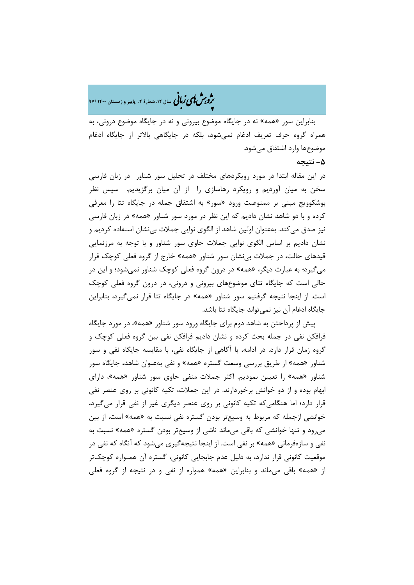�ی زبا **، سال ،12 شمارة ،2 پاییز و زمستان 1400 97/** � �و ی �ش

بنابراین سور «همه» نه در جایگاه موضوع بیرونی و نه در جایگاه موضوع درونی، به همراه گروه حرف تعریف ادغام نمیشود، بلکه در جایگاهی بالاتر از جایگاه ادغام موضوعها وارد اشتقاق میشود.

# **-5 نتیجه**

در این مقاله ابتدا در مورد رویکردهاي مختلف در تحلیل سور شناور در زبان فارسی سخن به میان آوردیم و رویکرد رهاسازي را از آن میان برگزیدیم. سپس نظر بوشکوویج مبنی بر ممنوعیت ورود «سور» به اشتقاق جمله در جایگاه تتا را معرفی کرده و با دو شاهد نشان دادیم که این نظر در مورد سور شناور «همه» در زبان فارسی نیز صدق میکند. بهعنوان اولین شاهد از الگوي نوایی جملات بینشان استفاده کردیم و نشان دادیم بر اساس الگوي نوایی جملات حاوي سور شناور و با توجه به مرزنمایی قیدهاي حالت، در جملات بینشان سور شناور «همه» خارج از گروه فعلی کوچک قرار میگیرد؛ به عبارت دیگر، «همه» در درون گروه فعلی کوچک شناور نمیشود؛ و این در حالی است که جایگاه تتاي موضوعهاي بیرونی و درونی، در درون گروه فعلی کوچک است. از اینجا نتیجه گرفتیم سور شناور «همه» در جایگاه تتا قرار نمیگیرد، بنابراین جایگاه ادغام آن نیز نمیتواند جایگاه تتا باشد.

پیش از پرداختن به شاهد دوم براي جایگاه ورود سور شناور «همه»، در مورد جایگاه فرافکن نفی در جمله بحث کرده و نشان دادیم فرافکن نفی بین گروه فعلی کوچک و گروه زمان قرار دارد. در ادامه، با آگاهی از جایگاه نفی، با مقایسه جایگاه نفی و سور شناور «همه» از طریق بررسی وسعت گستره «همه» و نفی بهعنوان شاهد، جایگاه سور شناور «همه» را تعیین نمودیم. اکثر جملات منفی حاوي سور شناور «همه»، داراي ابهام بوده و از دو خوانش برخوردارند. در این جملات، تکیه کانونی بر روي عنصر نفی قرار دارد؛ اما هنگامیکه تکیه کانونی بر روي عنصر دیگري غیر از نفی قرار میگیرد، خوانشی ازجمله که مربوط به وسیعتر بودن گستره نفی نسبت به «همه» است، از بین میرود و تنها خوانشی که باقی میماند ناشی از وسیعتر بودن گستره «همه» نسبت به نفی و سازهفرمانی «همه» بر نفی است. از اینجا نتیجهگیري میشود که آنگاه که نفی در موقعیت کانونی قرار ندارد، به دلیل عدم جابجایی کانونی، گستره آن همـواره کوچکتر از «همه» باقی میماند و بنابراین «همه» همواره از نفی و در نتیجه از گروه فعلی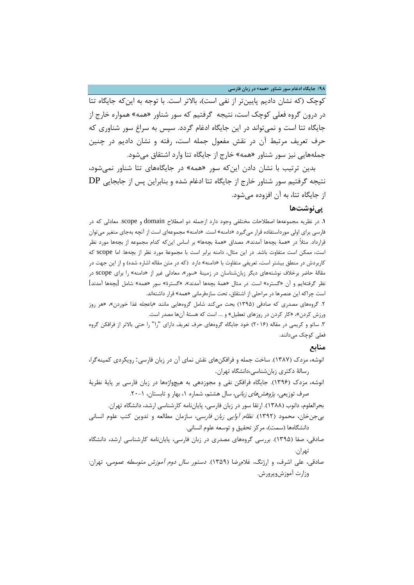**/98 جایگاه ادغام سور شناور «همه» در زبان فارسی**

کوچک (که نشان دادیم پایینتر از نفی است)، بالاتر است. با توجه به اینکه جایگاه تتا در درون گروه فعلی کوچک است، نتیجه گرفتیم که سور شناور «همه» همواره خارج از جایگاه تتا است و نمیتواند در این جایگاه ادغام گردد. سپس به سراغ سور شناوري که حرف تعریف مرتبط آن در نقش مفعول جمله است، رفته و نشان دادیم در چنین جملههایی نیز سور شناور «همه» خارج از جایگاه تتا وارد اشتقاق میشود.

بدین ترتیب با نشان دادن اینکه سور «همه» در جایگاههاي تتا شناور نمیشود، نتیجه گرفتیم سور شناور خارج از جایگاه تتا ادغام شده و بنابراین پس از جابجایی DP از جایگاه تتا، به آن افزوده میشود.

# **پینوشتها**

**.1** در نظریه مجموعهها اصطلاحات مختلفی وجود دارد ازجمله دو اصطلاح domain و scope. معادلی که در فارسی براي اولی مورداستفاده قرار میگیرد «دامنه» است. «دامنه» مجموعهاي است از آنچه بهجاي متغیر میتوان قرارداد. مثلاً در «همۀ بچهها آمدند»، مصداق «همۀ بچهها» بر اساس اینکه کدام مجموعه از بچهها مورد نظر است، ممکن است متفاوت باشد. در این مثال، دامنه برابر است با مجموعۀ مورد نظر از بچهها. اما scope که کاربردش در منطق بیشتر است، تعریفی متفاوت با «دامنه» دارد (که در متن مقاله اشاره شده) و از این جهت در مقالۀ حاضر برخلاف نوشتههاي دیگر زبانشناسان در زمینۀ «سور»، معادلی غیر از «دامنه» را براي scope در نظر گرفتهایم و آن «گستره» است. در مثال «همۀ بچهها آمدند»، «گسترة» سورِ «همه» شامل [بچهها آمدند] است چراکه این عنصرها در مراحلی از اشتقاق، تحت سازهفرمانی «همه» قرار داشتهاند.

.2 گروههاي مصدري که صادقی (1395) بحث میکند شامل گروههایی مانند «باعجله غذا خوردن»، «هر روز ورزش کردن»، «کار کردن در روزهاي تعطیل» و .... است که هستۀ آنها مصدر است.

.3 ساتو و کریمی در مقاله (2016) خود جایگاه گروههاي حرف تعریف داراي "را" را حتی بالاتر از فرافکن گروه فعلی کوچک میدانند.

# **منابع**

- انوشه، مزدك (1387). ساخت جمله و فرافکنهاي نقش نماي آن در زبان فارسی: رویکردي کمینهگرا، رسالۀ دکتري زبانشناسی،دانشگاه تهران.
- انوشه، مزدك (1396). جایگاه فرافکن نفی و مجوزدهی به هیچواژهها در زبان فارسی بر پایۀ نظریۀ صرف توزیعی، *پژوهشهای زبانی*، سال هشتم، شماره ۱، بهار و تابستان، ۱-۲۰.

بحرالعلوم، دانوب (1388). ارتقا سور در زبان فارسی، پایاننامه کارشناسی ارشد، دانشگاه تهران. بیجنخان، محمود (1392). نظام آوایی زبان فارسی، سازمان مطالعه و تدوین کتب علوم انسانی

- دانشگاهها (سمت)، مرکز تحقیق و توسعه علوم انسانی.
- صادقی، صفا (1395). بررسی گروههاي مصدري در زبان فارسی، پایاننامه کارشناسی ارشد، دانشگاه تهران.
- صادقی، علی اشرف، و ارژنگ، غلامرضا (1359). دستور سال دوم آموزش متوسطه عمومی، تهران: وزارت آموزشوپرورش.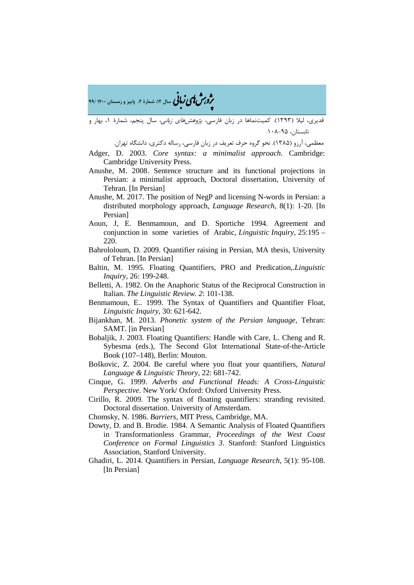ه م**شملی زبانی** سال ۱۲، شمارهٔ ۲، پاییز و زمستان ۱۴۰۰ /۹۹<br>**۴** 

قدیري، لیلا (1393). کمیتنماها در زبان فارسی، پژوهشهاي زبانی، سال پنجم، شمارة ،1 بهار و تابستان، ۹۵-۰۸۸

معظمی، آرزو (1385). نحو گروه حرف تعریف در زبان فارسی، رساله دکتري، دانشگاه تهران.

Adger, D. 2003. *Core syntax: a minimalist approach*. Cambridge: Cambridge University Press.

- Anushe, M. 2008. Sentence structure and its functional projections in Persian: a minimalist approach, Doctoral dissertation, University of Tehran. [In Persian]
- Anushe, M. 2017. The position of NegP and licensing N-words in Persian: a distributed morphology approach, *Language Research*, 8(1): 1-20. [In Persian]
- Aoun, J, E. Benmamoun, and D. Sportiche 1994. Agreement and conjunction in some varieties of Arabic, *Linguistic Inquiry,* 25:195 – 220.
- Bahrololoum, D. 2009. Quantifier raising in Persian, MA thesis, University of Tehran. [In Persian]
- Baltin, M. 1995. Floating Quantifiers, PRO and Predication,.*Linguistic Inquiry,* 26: 199-248.
- Belletti, A. 1982. On the Anaphoric Status of the Reciprocal Construction in Italian. *The Linguistic Review. 2*: 101-138.
- Benmamoun, E.. 1999. The Syntax of Quantifiers and Quantifier Float, *Linguistic Inquiry,* 30: 621-642.
- Bijankhan, M. 2013. *Phonetic system of the Persian language*, Tehran: SAMT. [in Persian]
- Bobaljik, J. 2003. Floating Quantifiers: Handle with Care, L. Cheng and R. Sybesma (eds.), The Second Glot International State-of-the-Article Book (107–148), Berlin: Mouton.
- Boškovic, Z. 2004. Be careful where you float your quantifiers, *Natural Language & Linguistic Theory,* 22: 681-742.
- Cinque, G. 1999. *Adverbs and Functional Heads: A Cross-Linguistic Perspective*. New York/ Oxford: Oxford University Press.
- Cirillo, R. 2009. The syntax of floating quantifiers: stranding revisited. Doctoral dissertation. University of Amsterdam.
- Chomsky, N. 1986. *Barriers*, MIT Press, Cambridge, MA.
- Dowty, D. and B. Brodie. 1984. A Semantic Analysis of Floated Quantifiers in Transformationless Grammar, *Proceedings of the West Coast Conference on Formal Linguistics 3*. Stanford: Stanford Linguistics Association, Stanford University.
- Ghadiri, L. 2014. Quantifiers in Persian, *Language Research*, 5(1): 95-108. [In Persian]